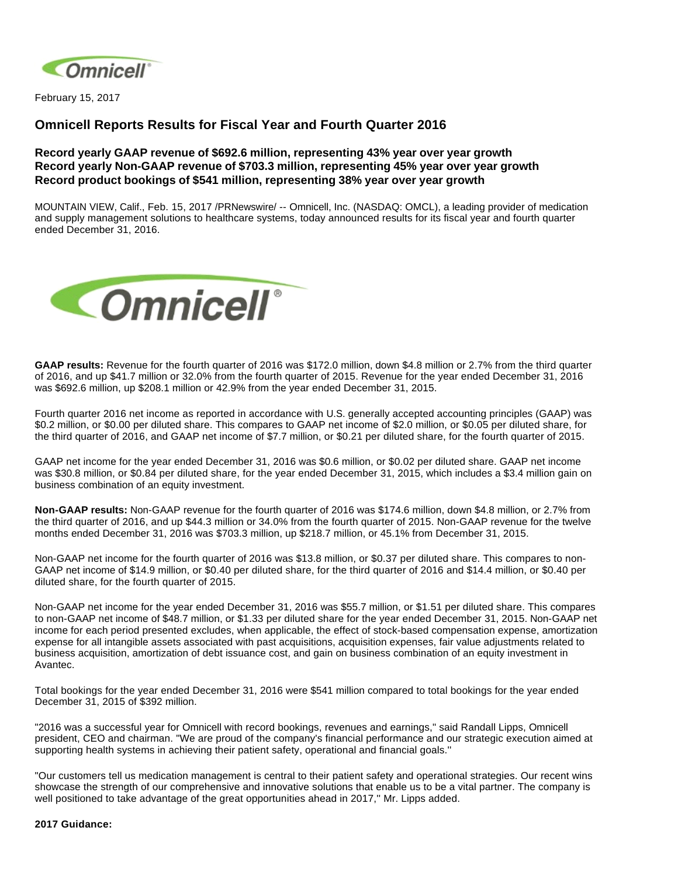

February 15, 2017

# **Omnicell Reports Results for Fiscal Year and Fourth Quarter 2016**

# **Record yearly GAAP revenue of \$692.6 million, representing 43% year over year growth Record yearly Non-GAAP revenue of \$703.3 million, representing 45% year over year growth Record product bookings of \$541 million, representing 38% year over year growth**

MOUNTAIN VIEW, Calif., Feb. 15, 2017 /PRNewswire/ -- Omnicell, Inc. (NASDAQ: OMCL), a leading provider of medication and supply management solutions to healthcare systems, today announced results for its fiscal year and fourth quarter ended December 31, 2016.



**GAAP results:** Revenue for the fourth quarter of 2016 was \$172.0 million, down \$4.8 million or 2.7% from the third quarter of 2016, and up \$41.7 million or 32.0% from the fourth quarter of 2015. Revenue for the year ended December 31, 2016 was \$692.6 million, up \$208.1 million or 42.9% from the year ended December 31, 2015.

Fourth quarter 2016 net income as reported in accordance with U.S. generally accepted accounting principles (GAAP) was \$0.2 million, or \$0.00 per diluted share. This compares to GAAP net income of \$2.0 million, or \$0.05 per diluted share, for the third quarter of 2016, and GAAP net income of \$7.7 million, or \$0.21 per diluted share, for the fourth quarter of 2015.

GAAP net income for the year ended December 31, 2016 was \$0.6 million, or \$0.02 per diluted share. GAAP net income was \$30.8 million, or \$0.84 per diluted share, for the year ended December 31, 2015, which includes a \$3.4 million gain on business combination of an equity investment.

**Non-GAAP results:** Non-GAAP revenue for the fourth quarter of 2016 was \$174.6 million, down \$4.8 million, or 2.7% from the third quarter of 2016, and up \$44.3 million or 34.0% from the fourth quarter of 2015. Non-GAAP revenue for the twelve months ended December 31, 2016 was \$703.3 million, up \$218.7 million, or 45.1% from December 31, 2015.

Non-GAAP net income for the fourth quarter of 2016 was \$13.8 million, or \$0.37 per diluted share. This compares to non-GAAP net income of \$14.9 million, or \$0.40 per diluted share, for the third quarter of 2016 and \$14.4 million, or \$0.40 per diluted share, for the fourth quarter of 2015.

Non-GAAP net income for the year ended December 31, 2016 was \$55.7 million, or \$1.51 per diluted share. This compares to non-GAAP net income of \$48.7 million, or \$1.33 per diluted share for the year ended December 31, 2015. Non-GAAP net income for each period presented excludes, when applicable, the effect of stock-based compensation expense, amortization expense for all intangible assets associated with past acquisitions, acquisition expenses, fair value adjustments related to business acquisition, amortization of debt issuance cost, and gain on business combination of an equity investment in Avantec.

Total bookings for the year ended December 31, 2016 were \$541 million compared to total bookings for the year ended December 31, 2015 of \$392 million.

"2016 was a successful year for Omnicell with record bookings, revenues and earnings," said Randall Lipps, Omnicell president, CEO and chairman. "We are proud of the company's financial performance and our strategic execution aimed at supporting health systems in achieving their patient safety, operational and financial goals.''

"Our customers tell us medication management is central to their patient safety and operational strategies. Our recent wins showcase the strength of our comprehensive and innovative solutions that enable us to be a vital partner. The company is well positioned to take advantage of the great opportunities ahead in 2017,'' Mr. Lipps added.

### **2017 Guidance:**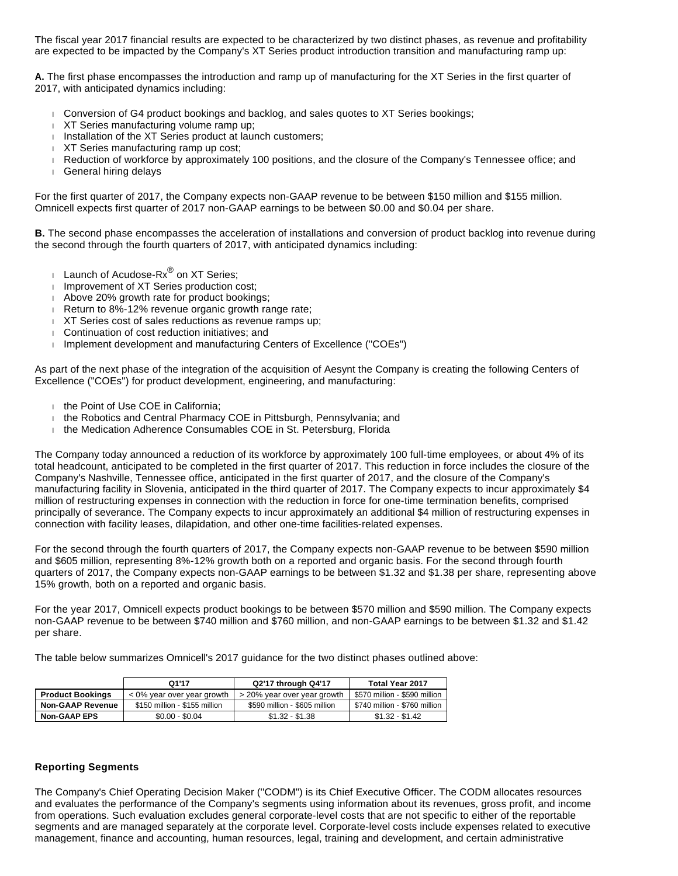The fiscal year 2017 financial results are expected to be characterized by two distinct phases, as revenue and profitability are expected to be impacted by the Company's XT Series product introduction transition and manufacturing ramp up:

**A.** The first phase encompasses the introduction and ramp up of manufacturing for the XT Series in the first quarter of 2017, with anticipated dynamics including:

- Conversion of G4 product bookings and backlog, and sales quotes to XT Series bookings;
- XT Series manufacturing volume ramp up;
- $I$  Installation of the XT Series product at launch customers;
- XT Series manufacturing ramp up cost;
- Reduction of workforce by approximately 100 positions, and the closure of the Company's Tennessee office; and
- General hiring delays

For the first quarter of 2017, the Company expects non-GAAP revenue to be between \$150 million and \$155 million. Omnicell expects first quarter of 2017 non-GAAP earnings to be between \$0.00 and \$0.04 per share.

**B.** The second phase encompasses the acceleration of installations and conversion of product backlog into revenue during the second through the fourth quarters of 2017, with anticipated dynamics including:

- Launch of Acudose-Rx $^{\circledR}$  on XT Series;
- Improvement of XT Series production  $\overline{\text{cost}}$ ;
- Above 20% growth rate for product bookings;
- Return to 8%-12% revenue organic growth range rate;
- XT Series cost of sales reductions as revenue ramps up;
- Continuation of cost reduction initiatives; and
- Inplement development and manufacturing Centers of Excellence ("COEs")

As part of the next phase of the integration of the acquisition of Aesynt the Company is creating the following Centers of Excellence ("COEs") for product development, engineering, and manufacturing:

- the Point of Use COE in California;
- $\text{ }$  the Robotics and Central Pharmacy COE in Pittsburgh, Pennsylvania; and
- $t$  the Medication Adherence Consumables COE in St. Petersburg, Florida

The Company today announced a reduction of its workforce by approximately 100 full-time employees, or about 4% of its total headcount, anticipated to be completed in the first quarter of 2017. This reduction in force includes the closure of the Company's Nashville, Tennessee office, anticipated in the first quarter of 2017, and the closure of the Company's manufacturing facility in Slovenia, anticipated in the third quarter of 2017. The Company expects to incur approximately \$4 million of restructuring expenses in connection with the reduction in force for one-time termination benefits, comprised principally of severance. The Company expects to incur approximately an additional \$4 million of restructuring expenses in connection with facility leases, dilapidation, and other one-time facilities-related expenses.

For the second through the fourth quarters of 2017, the Company expects non-GAAP revenue to be between \$590 million and \$605 million, representing 8%-12% growth both on a reported and organic basis. For the second through fourth quarters of 2017, the Company expects non-GAAP earnings to be between \$1.32 and \$1.38 per share, representing above 15% growth, both on a reported and organic basis.

For the year 2017, Omnicell expects product bookings to be between \$570 million and \$590 million. The Company expects non-GAAP revenue to be between \$740 million and \$760 million, and non-GAAP earnings to be between \$1.32 and \$1.42 per share.

The table below summarizes Omnicell's 2017 guidance for the two distinct phases outlined above:

|                         | Q1'17                         | Q2'17 through Q4'17           | Total Year 2017               |
|-------------------------|-------------------------------|-------------------------------|-------------------------------|
| <b>Product Bookings</b> | < 0% year over year growth    | > 20% year over year growth   | \$570 million - \$590 million |
| <b>Non-GAAP Revenue</b> | \$150 million - \$155 million | \$590 million - \$605 million | \$740 million - \$760 million |
| <b>Non-GAAP EPS</b>     | $$0.00 - $0.04$               | $$1.32 - $1.38$               | $$1.32 - $1.42$               |

### **Reporting Segments**

The Company's Chief Operating Decision Maker (''CODM") is its Chief Executive Officer. The CODM allocates resources and evaluates the performance of the Company's segments using information about its revenues, gross profit, and income from operations. Such evaluation excludes general corporate-level costs that are not specific to either of the reportable segments and are managed separately at the corporate level. Corporate-level costs include expenses related to executive management, finance and accounting, human resources, legal, training and development, and certain administrative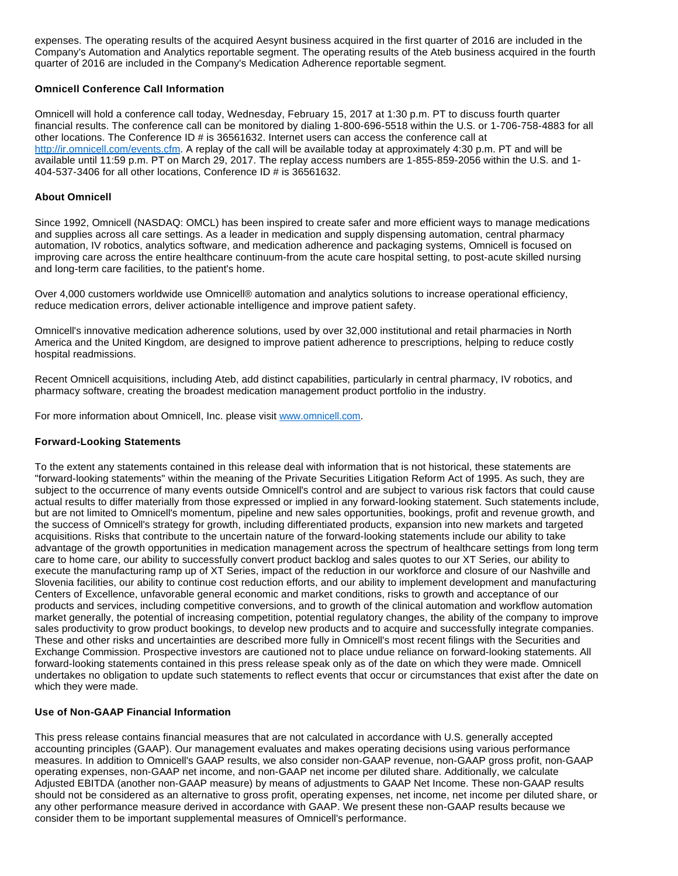expenses. The operating results of the acquired Aesynt business acquired in the first quarter of 2016 are included in the Company's Automation and Analytics reportable segment. The operating results of the Ateb business acquired in the fourth quarter of 2016 are included in the Company's Medication Adherence reportable segment.

## **Omnicell Conference Call Information**

Omnicell will hold a conference call today, Wednesday, February 15, 2017 at 1:30 p.m. PT to discuss fourth quarter financial results. The conference call can be monitored by dialing 1-800-696-5518 within the U.S. or 1-706-758-4883 for all other locations. The Conference ID # is 36561632. Internet users can access the conference call at [http://ir.omnicell.com/events.cfm.](http://ir.omnicell.com/events.cfm) A replay of the call will be available today at approximately 4:30 p.m. PT and will be available until 11:59 p.m. PT on March 29, 2017. The replay access numbers are 1-855-859-2056 within the U.S. and 1- 404-537-3406 for all other locations, Conference ID # is 36561632.

## **About Omnicell**

Since 1992, Omnicell (NASDAQ: OMCL) has been inspired to create safer and more efficient ways to manage medications and supplies across all care settings. As a leader in medication and supply dispensing automation, central pharmacy automation, IV robotics, analytics software, and medication adherence and packaging systems, Omnicell is focused on improving care across the entire healthcare continuum-from the acute care hospital setting, to post-acute skilled nursing and long-term care facilities, to the patient's home.

Over 4,000 customers worldwide use Omnicell® automation and analytics solutions to increase operational efficiency, reduce medication errors, deliver actionable intelligence and improve patient safety.

Omnicell's innovative medication adherence solutions, used by over 32,000 institutional and retail pharmacies in North America and the United Kingdom, are designed to improve patient adherence to prescriptions, helping to reduce costly hospital readmissions.

Recent Omnicell acquisitions, including Ateb, add distinct capabilities, particularly in central pharmacy, IV robotics, and pharmacy software, creating the broadest medication management product portfolio in the industry.

For more information about Omnicell, Inc. please visit [www.omnicell.com.](http://www.omnicell.com/)

### **Forward-Looking Statements**

To the extent any statements contained in this release deal with information that is not historical, these statements are "forward-looking statements" within the meaning of the Private Securities Litigation Reform Act of 1995. As such, they are subject to the occurrence of many events outside Omnicell's control and are subject to various risk factors that could cause actual results to differ materially from those expressed or implied in any forward-looking statement. Such statements include, but are not limited to Omnicell's momentum, pipeline and new sales opportunities, bookings, profit and revenue growth, and the success of Omnicell's strategy for growth, including differentiated products, expansion into new markets and targeted acquisitions. Risks that contribute to the uncertain nature of the forward-looking statements include our ability to take advantage of the growth opportunities in medication management across the spectrum of healthcare settings from long term care to home care, our ability to successfully convert product backlog and sales quotes to our XT Series, our ability to execute the manufacturing ramp up of XT Series, impact of the reduction in our workforce and closure of our Nashville and Slovenia facilities, our ability to continue cost reduction efforts, and our ability to implement development and manufacturing Centers of Excellence, unfavorable general economic and market conditions, risks to growth and acceptance of our products and services, including competitive conversions, and to growth of the clinical automation and workflow automation market generally, the potential of increasing competition, potential regulatory changes, the ability of the company to improve sales productivity to grow product bookings, to develop new products and to acquire and successfully integrate companies. These and other risks and uncertainties are described more fully in Omnicell's most recent filings with the Securities and Exchange Commission. Prospective investors are cautioned not to place undue reliance on forward-looking statements. All forward-looking statements contained in this press release speak only as of the date on which they were made. Omnicell undertakes no obligation to update such statements to reflect events that occur or circumstances that exist after the date on which they were made.

### **Use of Non-GAAP Financial Information**

This press release contains financial measures that are not calculated in accordance with U.S. generally accepted accounting principles (GAAP). Our management evaluates and makes operating decisions using various performance measures. In addition to Omnicell's GAAP results, we also consider non-GAAP revenue, non-GAAP gross profit, non-GAAP operating expenses, non-GAAP net income, and non-GAAP net income per diluted share. Additionally, we calculate Adjusted EBITDA (another non-GAAP measure) by means of adjustments to GAAP Net Income. These non-GAAP results should not be considered as an alternative to gross profit, operating expenses, net income, net income per diluted share, or any other performance measure derived in accordance with GAAP. We present these non-GAAP results because we consider them to be important supplemental measures of Omnicell's performance.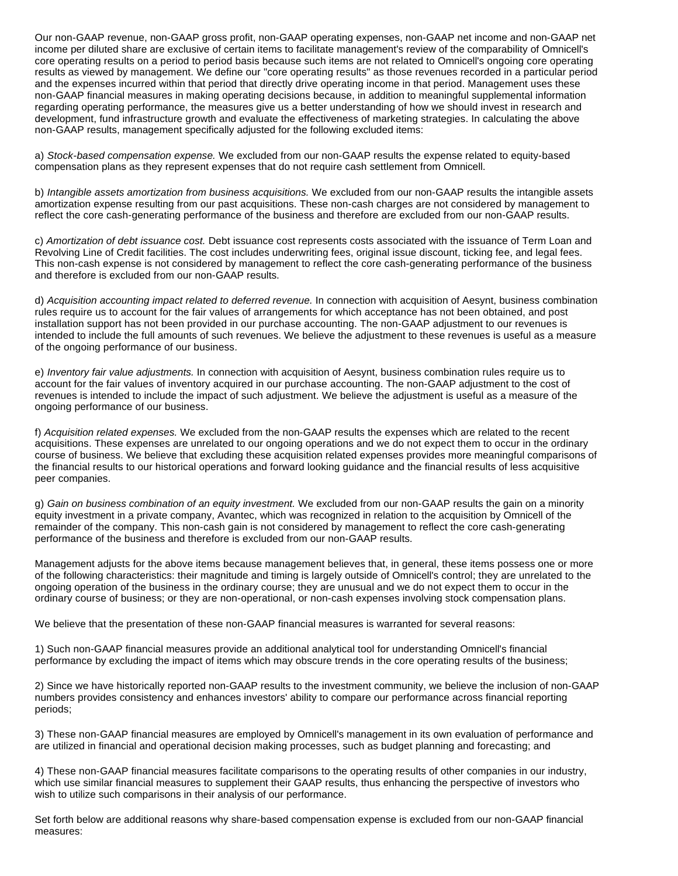Our non-GAAP revenue, non-GAAP gross profit, non-GAAP operating expenses, non-GAAP net income and non-GAAP net income per diluted share are exclusive of certain items to facilitate management's review of the comparability of Omnicell's core operating results on a period to period basis because such items are not related to Omnicell's ongoing core operating results as viewed by management. We define our "core operating results" as those revenues recorded in a particular period and the expenses incurred within that period that directly drive operating income in that period. Management uses these non-GAAP financial measures in making operating decisions because, in addition to meaningful supplemental information regarding operating performance, the measures give us a better understanding of how we should invest in research and development, fund infrastructure growth and evaluate the effectiveness of marketing strategies. In calculating the above non-GAAP results, management specifically adjusted for the following excluded items:

a) Stock-based compensation expense. We excluded from our non-GAAP results the expense related to equity-based compensation plans as they represent expenses that do not require cash settlement from Omnicell.

b) Intangible assets amortization from business acquisitions. We excluded from our non-GAAP results the intangible assets amortization expense resulting from our past acquisitions. These non-cash charges are not considered by management to reflect the core cash-generating performance of the business and therefore are excluded from our non-GAAP results.

c) Amortization of debt issuance cost. Debt issuance cost represents costs associated with the issuance of Term Loan and Revolving Line of Credit facilities. The cost includes underwriting fees, original issue discount, ticking fee, and legal fees. This non-cash expense is not considered by management to reflect the core cash-generating performance of the business and therefore is excluded from our non-GAAP results.

d) Acquisition accounting impact related to deferred revenue. In connection with acquisition of Aesynt, business combination rules require us to account for the fair values of arrangements for which acceptance has not been obtained, and post installation support has not been provided in our purchase accounting. The non-GAAP adjustment to our revenues is intended to include the full amounts of such revenues. We believe the adjustment to these revenues is useful as a measure of the ongoing performance of our business.

e) Inventory fair value adjustments. In connection with acquisition of Aesynt, business combination rules require us to account for the fair values of inventory acquired in our purchase accounting. The non-GAAP adjustment to the cost of revenues is intended to include the impact of such adjustment. We believe the adjustment is useful as a measure of the ongoing performance of our business.

f) Acquisition related expenses. We excluded from the non-GAAP results the expenses which are related to the recent acquisitions. These expenses are unrelated to our ongoing operations and we do not expect them to occur in the ordinary course of business. We believe that excluding these acquisition related expenses provides more meaningful comparisons of the financial results to our historical operations and forward looking guidance and the financial results of less acquisitive peer companies.

g) Gain on business combination of an equity investment. We excluded from our non-GAAP results the gain on a minority equity investment in a private company, Avantec, which was recognized in relation to the acquisition by Omnicell of the remainder of the company. This non-cash gain is not considered by management to reflect the core cash-generating performance of the business and therefore is excluded from our non-GAAP results.

Management adjusts for the above items because management believes that, in general, these items possess one or more of the following characteristics: their magnitude and timing is largely outside of Omnicell's control; they are unrelated to the ongoing operation of the business in the ordinary course; they are unusual and we do not expect them to occur in the ordinary course of business; or they are non-operational, or non-cash expenses involving stock compensation plans.

We believe that the presentation of these non-GAAP financial measures is warranted for several reasons:

1) Such non-GAAP financial measures provide an additional analytical tool for understanding Omnicell's financial performance by excluding the impact of items which may obscure trends in the core operating results of the business;

2) Since we have historically reported non-GAAP results to the investment community, we believe the inclusion of non-GAAP numbers provides consistency and enhances investors' ability to compare our performance across financial reporting periods;

3) These non-GAAP financial measures are employed by Omnicell's management in its own evaluation of performance and are utilized in financial and operational decision making processes, such as budget planning and forecasting; and

4) These non-GAAP financial measures facilitate comparisons to the operating results of other companies in our industry, which use similar financial measures to supplement their GAAP results, thus enhancing the perspective of investors who wish to utilize such comparisons in their analysis of our performance.

Set forth below are additional reasons why share-based compensation expense is excluded from our non-GAAP financial measures: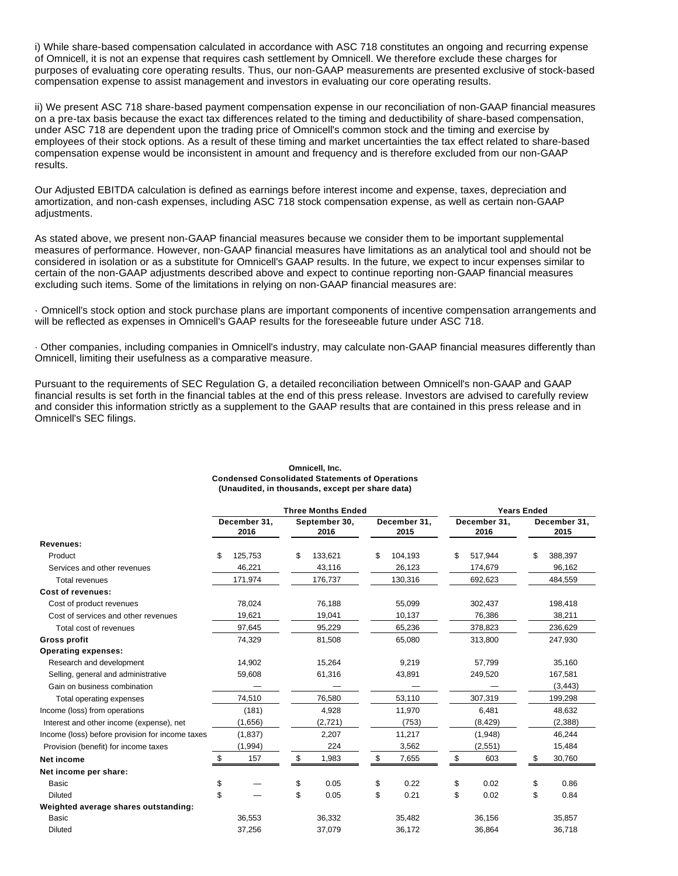i) While share-based compensation calculated in accordance with ASC 718 constitutes an ongoing and recurring expense of Omnicell, it is not an expense that requires cash settlement by Omnicell. We therefore exclude these charges for purposes of evaluating core operating results. Thus, our non-GAAP measurements are presented exclusive of stock-based compensation expense to assist management and investors in evaluating our core operating results.

ii) We present ASC 718 share-based payment compensation expense in our reconciliation of non-GAAP financial measures on a pre-tax basis because the exact tax differences related to the timing and deductibility of share-based compensation, under ASC 718 are dependent upon the trading price of Omnicell's common stock and the timing and exercise by employees of their stock options. As a result of these timing and market uncertainties the tax effect related to share-based compensation expense would be inconsistent in amount and frequency and is therefore excluded from our non-GAAP results.

Our Adjusted EBITDA calculation is defined as earnings before interest income and expense, taxes, depreciation and amortization, and non-cash expenses, including ASC 718 stock compensation expense, as well as certain non-GAAP adjustments.

As stated above, we present non-GAAP financial measures because we consider them to be important supplemental measures of performance. However, non-GAAP financial measures have limitations as an analytical tool and should not be considered in isolation or as a substitute for Omnicell's GAAP results. In the future, we expect to incur expenses similar to certain of the non-GAAP adjustments described above and expect to continue reporting non-GAAP financial measures excluding such items. Some of the limitations in relying on non-GAAP financial measures are:

· Omnicell's stock option and stock purchase plans are important components of incentive compensation arrangements and will be reflected as expenses in Omnicell's GAAP results for the foreseeable future under ASC 718.

· Other companies, including companies in Omnicell's industry, may calculate non-GAAP financial measures differently than Omnicell, limiting their usefulness as a comparative measure.

Pursuant to the requirements of SEC Regulation G, a detailed reconciliation between Omnicell's non-GAAP and GAAP financial results is set forth in the financial tables at the end of this press release. Investors are advised to carefully review and consider this information strictly as a supplement to the GAAP results that are contained in this press release and in Omnicell's SEC filings.

|                                                 |         |                      |            | <b>Three Months Ended</b> |        |                      | <b>Years Ended</b>   |               |    |                      |
|-------------------------------------------------|---------|----------------------|------------|---------------------------|--------|----------------------|----------------------|---------------|----|----------------------|
|                                                 |         | December 31,<br>2016 |            | September 30,<br>2016     |        | December 31,<br>2015 | December 31,<br>2016 |               |    | December 31,<br>2015 |
| Revenues:                                       |         |                      |            |                           |        |                      |                      |               |    |                      |
| Product                                         | \$      | 125,753              | \$         | 133,621                   | \$     | 104,193              |                      | \$<br>517,944 |    | 388,397              |
| Services and other revenues                     | 46,221  |                      |            | 43,116                    |        | 26,123               |                      | 174,679       |    | 96,162               |
| Total revenues                                  | 171,974 |                      |            | 176,737                   |        | 130,316              |                      | 692,623       |    | 484,559              |
| Cost of revenues:                               |         |                      |            |                           |        |                      |                      |               |    |                      |
| Cost of product revenues                        | 78,024  |                      |            | 76,188                    |        | 55.099               |                      | 302,437       |    | 198,418              |
| Cost of services and other revenues             | 19,621  |                      |            | 19,041                    |        | 10,137               |                      | 76,386        |    | 38,211               |
| Total cost of revenues                          | 97,645  |                      |            | 95,229                    |        | 65,236               |                      | 378,823       |    | 236,629              |
| <b>Gross profit</b>                             |         | 74,329               |            | 81,508                    |        | 65,080               |                      | 313,800       |    | 247,930              |
| <b>Operating expenses:</b>                      |         |                      |            |                           |        |                      |                      |               |    |                      |
| Research and development                        |         | 14,902               | 15,264     |                           |        | 9,219                |                      | 57,799        |    | 35,160               |
| Selling, general and administrative             |         | 59,608               | 61,316     |                           |        | 43,891               |                      | 249,520       |    | 167,581              |
| Gain on business combination                    |         |                      |            |                           |        |                      |                      |               |    | (3, 443)             |
| Total operating expenses                        |         | 74,510               |            | 76,580                    | 53,110 |                      | 307,319              |               |    | 199,298              |
| Income (loss) from operations                   |         | (181)                |            | 4,928                     | 11,970 |                      | 6.481                |               |    | 48,632               |
| Interest and other income (expense), net        |         | (1,656)              |            | (2,721)                   |        | (753)                |                      | (8, 429)      |    | (2,388)              |
| Income (loss) before provision for income taxes |         | (1,837)              |            | 2,207                     |        | 11,217               |                      | (1,948)       |    | 46,244               |
| Provision (benefit) for income taxes            |         | (1,994)              |            | 224                       |        | 3,562                | (2,551)              |               |    | 15,484               |
| Net income                                      | \$      | 157                  | \$         | 1,983                     | \$     | 7,655                | \$                   | 603           | \$ | 30,760               |
| Net income per share:                           |         |                      |            |                           |        |                      |                      |               |    |                      |
| <b>Basic</b>                                    | \$      |                      | \$         | 0.05                      | \$     | 0.22                 | \$                   | 0.02          | \$ | 0.86                 |
| <b>Diluted</b>                                  | \$      |                      | \$<br>0.05 |                           | \$     | 0.21                 | \$<br>0.02           |               | \$ | 0.84                 |
| Weighted average shares outstanding:            |         |                      |            |                           |        |                      |                      |               |    |                      |
| Basic                                           |         | 36.553               |            | 36,332                    |        | 35.482               |                      | 36.156        |    | 35.857               |
| <b>Diluted</b>                                  |         | 37,256               |            | 37,079                    |        | 36,172               |                      | 36,864        |    | 36,718               |

#### **Omnicell, Inc. Condensed Consolidated Statements of Operations (Unaudited, in thousands, except per share data)**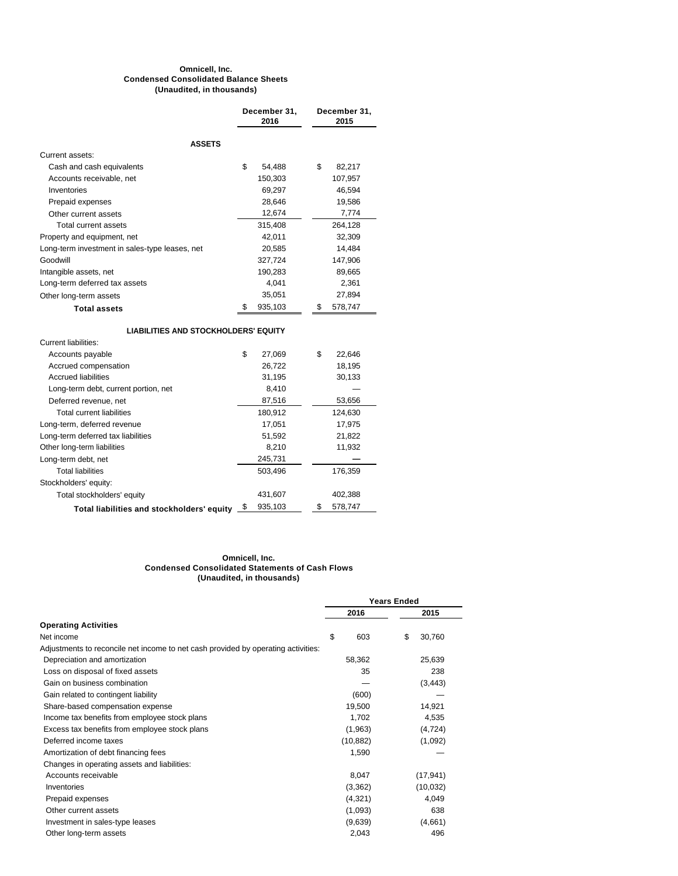#### **Omnicell, Inc. Condensed Consolidated Balance Sheets (Unaudited, in thousands)**

|                                                | December 31,<br>2016 | December 31,<br>2015 |  |  |
|------------------------------------------------|----------------------|----------------------|--|--|
| <b>ASSETS</b>                                  |                      |                      |  |  |
| Current assets:                                |                      |                      |  |  |
| Cash and cash equivalents                      | \$<br>54,488         | \$<br>82,217         |  |  |
| Accounts receivable, net                       | 150,303              | 107,957              |  |  |
| Inventories                                    | 69,297               | 46,594               |  |  |
| Prepaid expenses                               | 28,646               | 19,586               |  |  |
| Other current assets                           | 12,674               | 7,774                |  |  |
| Total current assets                           | 315,408              | 264,128              |  |  |
| Property and equipment, net                    | 42,011               | 32,309               |  |  |
| Long-term investment in sales-type leases, net | 20,585               | 14,484               |  |  |
| Goodwill                                       | 327,724              | 147,906              |  |  |
| Intangible assets, net                         | 190,283              | 89,665               |  |  |
| Long-term deferred tax assets                  | 4,041                | 2,361                |  |  |
| Other long-term assets                         | 35,051               | 27,894               |  |  |
| <b>Total assets</b>                            | \$<br>935,103        | \$<br>578,747        |  |  |
| <b>LIABILITIES AND STOCKHOLDERS' EQUITY</b>    |                      |                      |  |  |
| <b>Current liabilities:</b>                    |                      |                      |  |  |
| Accounts payable                               | \$<br>27,069         | \$<br>22,646         |  |  |
| Accrued compensation                           | 26,722               | 18,195               |  |  |
| <b>Accrued liabilities</b>                     | 31,195               | 30,133               |  |  |
| Long-term debt, current portion, net           | 8,410                |                      |  |  |
| Deferred revenue, net                          | 87,516               | 53,656               |  |  |
| <b>Total current liabilities</b>               | 180,912              | 124,630              |  |  |
| Long-term, deferred revenue                    | 17,051               | 17,975               |  |  |
| Long-term deferred tax liabilities             | 51,592               | 21,822               |  |  |
| Other long-term liabilities                    | 8,210                | 11,932               |  |  |
| Long-term debt, net                            | 245,731              |                      |  |  |
| <b>Total liabilities</b>                       | 503,496              | 176,359              |  |  |
| Stockholders' equity:                          |                      |                      |  |  |
| Total stockholders' equity                     | 431,607              | 402,388              |  |  |
| Total liabilities and stockholders' equity     | 935,103<br>\$        | 578,747<br>\$        |  |  |

#### **Omnicell, Inc. Condensed Consolidated Statements of Cash Flows (Unaudited, in thousands)**

|                                                                                   |           | <b>Years Ended</b> |
|-----------------------------------------------------------------------------------|-----------|--------------------|
|                                                                                   | 2016      | 2015               |
| <b>Operating Activities</b>                                                       |           |                    |
| Net income                                                                        | \$<br>603 | \$<br>30,760       |
| Adjustments to reconcile net income to net cash provided by operating activities: |           |                    |
| Depreciation and amortization                                                     | 58,362    | 25,639             |
| Loss on disposal of fixed assets                                                  | 35        | 238                |
| Gain on business combination                                                      |           | (3, 443)           |
| Gain related to contingent liability                                              | (600)     |                    |
| Share-based compensation expense                                                  | 19,500    | 14,921             |
| Income tax benefits from employee stock plans                                     | 1,702     | 4,535              |
| Excess tax benefits from employee stock plans                                     | (1,963)   | (4, 724)           |
| Deferred income taxes                                                             | (10, 882) | (1,092)            |
| Amortization of debt financing fees                                               | 1,590     |                    |
| Changes in operating assets and liabilities:                                      |           |                    |
| Accounts receivable                                                               | 8,047     | (17, 941)          |
| Inventories                                                                       | (3,362)   | (10, 032)          |
| Prepaid expenses                                                                  | (4,321)   | 4,049              |
| Other current assets                                                              | (1,093)   | 638                |
| Investment in sales-type leases                                                   | (9,639)   | (4,661)            |
| Other long-term assets                                                            | 2,043     | 496                |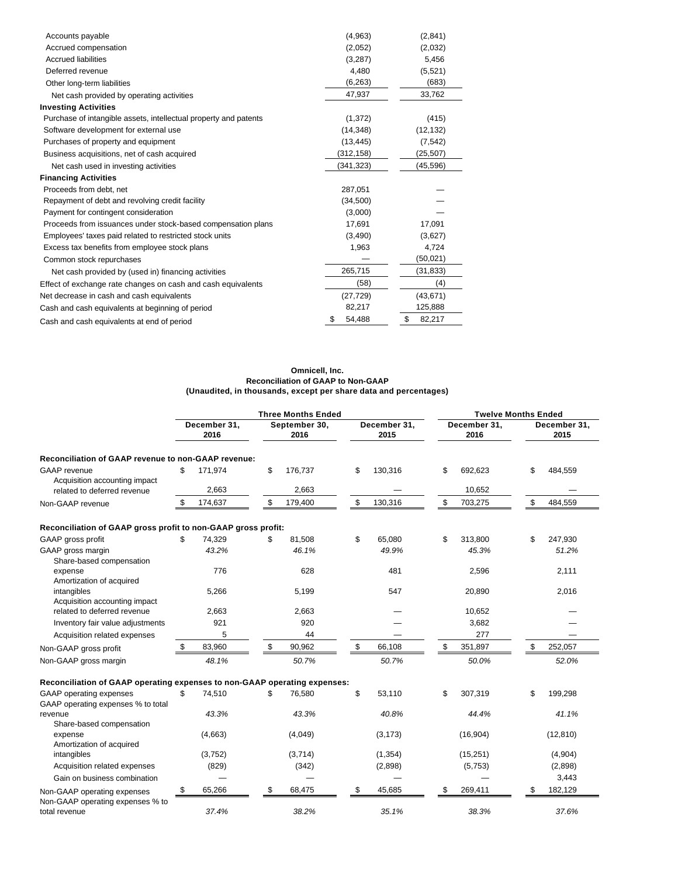| (4,963)      | (2,841)      |
|--------------|--------------|
| (2,052)      | (2,032)      |
| (3, 287)     | 5,456        |
| 4,480        | (5,521)      |
| (6, 263)     | (683)        |
| 47,937       | 33,762       |
|              |              |
| (1, 372)     | (415)        |
| (14, 348)    | (12, 132)    |
| (13, 445)    | (7, 542)     |
| (312, 158)   | (25, 507)    |
| (341, 323)   | (45, 596)    |
|              |              |
| 287,051      |              |
| (34,500)     |              |
| (3,000)      |              |
| 17,691       | 17,091       |
| (3,490)      | (3,627)      |
| 1,963        | 4,724        |
|              | (50,021)     |
| 265,715      | (31, 833)    |
| (58)         | (4)          |
| (27, 729)    | (43, 671)    |
| 82,217       | 125,888      |
| 54,488<br>\$ | \$<br>82,217 |
|              |              |

#### **Omnicell, Inc. Reconciliation of GAAP to Non-GAAP (Unaudited, in thousands, except per share data and percentages)**

|                                                                           |                      | <b>Three Months Ended</b> |                      | <b>Twelve Months Ended</b> |                      |     |                      |  |  |
|---------------------------------------------------------------------------|----------------------|---------------------------|----------------------|----------------------------|----------------------|-----|----------------------|--|--|
|                                                                           | December 31,<br>2016 | September 30,<br>2016     | December 31,<br>2015 |                            | December 31.<br>2016 |     | December 31,<br>2015 |  |  |
| Reconciliation of GAAP revenue to non-GAAP revenue:                       |                      |                           |                      |                            |                      |     |                      |  |  |
| GAAP revenue<br>Acquisition accounting impact                             | \$<br>171,974        | \$<br>176,737             | \$<br>130,316        | \$                         | 692,623              | \$  | 484,559              |  |  |
| related to deferred revenue                                               | 2,663                | 2,663                     |                      |                            | 10,652               |     |                      |  |  |
| Non-GAAP revenue                                                          | \$<br>174,637        | \$<br>179,400             | \$<br>130,316        | \$                         | 703,275              | \$  | 484,559              |  |  |
| Reconciliation of GAAP gross profit to non-GAAP gross profit:             |                      |                           |                      |                            |                      |     |                      |  |  |
| GAAP gross profit                                                         | \$<br>74,329         | \$<br>81,508              | \$<br>65,080         | \$                         | 313,800              | \$. | 247,930              |  |  |
| GAAP gross margin<br>Share-based compensation                             | 43.2%                | 46.1%                     | 49.9%                |                            | 45.3%                |     | 51.2%                |  |  |
| expense<br>Amortization of acquired                                       | 776                  | 628                       | 481                  |                            | 2,596                |     | 2,111                |  |  |
| intangibles<br>Acquisition accounting impact                              | 5,266                | 5,199                     | 547                  |                            | 20,890               |     | 2,016                |  |  |
| related to deferred revenue                                               | 2,663                | 2,663                     |                      |                            | 10,652               |     |                      |  |  |
| Inventory fair value adjustments                                          | 921                  | 920                       |                      |                            | 3,682                |     |                      |  |  |
| Acquisition related expenses                                              | 5                    | 44                        |                      |                            | 277                  |     |                      |  |  |
| Non-GAAP gross profit                                                     | \$<br>83,960         | \$<br>90,962              | \$<br>66,108         | \$                         | 351,897              | \$  | 252,057              |  |  |
| Non-GAAP gross margin                                                     | 48.1%                | 50.7%                     | 50.7%                |                            | 50.0%                |     | 52.0%                |  |  |
| Reconciliation of GAAP operating expenses to non-GAAP operating expenses: |                      |                           |                      |                            |                      |     |                      |  |  |
| <b>GAAP</b> operating expenses<br>GAAP operating expenses % to total      | \$<br>74,510         | \$<br>76,580              | \$<br>53,110         | \$                         | 307,319              | \$  | 199,298              |  |  |
| revenue<br>Share-based compensation                                       | 43.3%                | 43.3%                     | 40.8%                |                            | 44.4%                |     | 41.1%                |  |  |
| expense<br>Amortization of acquired                                       | (4,663)              | (4,049)                   | (3, 173)             |                            | (16, 904)            |     | (12, 810)            |  |  |
| intangibles                                                               | (3,752)              | (3,714)                   | (1, 354)             |                            | (15, 251)            |     | (4,904)              |  |  |
| Acquisition related expenses                                              | (829)                | (342)                     | (2,898)              |                            | (5,753)              |     | (2,898)              |  |  |
| Gain on business combination                                              |                      |                           |                      |                            |                      |     | 3,443                |  |  |
| Non-GAAP operating expenses<br>Non-GAAP operating expenses % to           | \$<br>65,266         | \$<br>68,475              | \$<br>45,685         | S                          | 269,411              |     | 182,129              |  |  |
| total revenue                                                             | 37.4%                | 38.2%                     | 35.1%                |                            | 38.3%                |     | 37.6%                |  |  |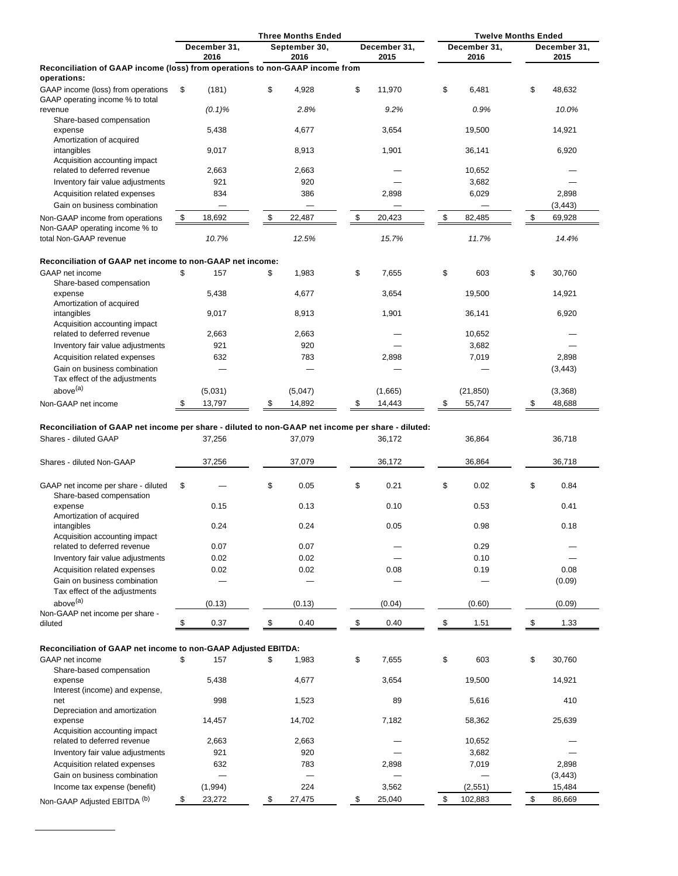|                                                                                                   |                         |                      | <b>Three Months Ended</b> |                      |                      | <b>Twelve Months Ended</b> |                      |  |  |  |  |
|---------------------------------------------------------------------------------------------------|-------------------------|----------------------|---------------------------|----------------------|----------------------|----------------------------|----------------------|--|--|--|--|
|                                                                                                   |                         | December 31,<br>2016 | September 30,<br>2016     | December 31,<br>2015 | December 31.<br>2016 |                            | December 31,<br>2015 |  |  |  |  |
| Reconciliation of GAAP income (loss) from operations to non-GAAP income from<br>operations:       |                         |                      |                           |                      |                      |                            |                      |  |  |  |  |
| GAAP income (loss) from operations<br>GAAP operating income % to total                            | \$                      | (181)                | \$<br>4,928               | \$<br>11,970         | \$<br>6,481          | \$                         | 48,632               |  |  |  |  |
| revenue<br>Share-based compensation                                                               |                         | $(0.1)\%$            | 2.8%                      | 9.2%                 | 0.9%                 |                            | 10.0%                |  |  |  |  |
| expense<br>Amortization of acquired                                                               |                         | 5,438                | 4,677                     | 3,654                | 19,500               |                            | 14,921               |  |  |  |  |
| intangibles<br>Acquisition accounting impact                                                      |                         | 9,017                | 8,913                     | 1,901                | 36,141               |                            | 6,920                |  |  |  |  |
| related to deferred revenue                                                                       |                         | 2,663                | 2,663                     |                      | 10,652               |                            |                      |  |  |  |  |
| Inventory fair value adjustments                                                                  |                         | 921                  | 920                       |                      | 3,682                |                            |                      |  |  |  |  |
| Acquisition related expenses<br>Gain on business combination                                      |                         | 834                  | 386                       | 2,898                | 6,029                |                            | 2,898<br>(3, 443)    |  |  |  |  |
| Non-GAAP income from operations                                                                   | \$                      | 18,692               | \$<br>22,487              | \$<br>20,423         | \$<br>82,485         | \$                         | 69,928               |  |  |  |  |
| Non-GAAP operating income % to<br>total Non-GAAP revenue                                          |                         | 10.7%                | 12.5%                     | 15.7%                | 11.7%                |                            | 14.4%                |  |  |  |  |
| Reconciliation of GAAP net income to non-GAAP net income:                                         |                         |                      |                           |                      |                      |                            |                      |  |  |  |  |
| GAAP net income<br>Share-based compensation                                                       | \$                      | 157                  | \$<br>1,983               | \$<br>7,655          | \$<br>603            | \$                         | 30,760               |  |  |  |  |
| expense<br>Amortization of acquired                                                               |                         | 5,438                | 4,677                     | 3,654                | 19,500               |                            | 14,921               |  |  |  |  |
| intangibles<br>Acquisition accounting impact                                                      |                         | 9,017                | 8,913                     | 1,901                | 36,141               |                            | 6,920                |  |  |  |  |
| related to deferred revenue                                                                       |                         | 2,663                | 2,663                     |                      | 10,652               |                            |                      |  |  |  |  |
| Inventory fair value adjustments                                                                  |                         | 921                  | 920                       |                      | 3,682                |                            |                      |  |  |  |  |
| Acquisition related expenses                                                                      |                         | 632                  | 783                       | 2,898                | 7,019                |                            | 2,898                |  |  |  |  |
| Gain on business combination<br>Tax effect of the adjustments                                     |                         |                      |                           |                      |                      |                            | (3, 443)             |  |  |  |  |
| above <sup>(a)</sup>                                                                              |                         | (5,031)              | (5,047)                   | (1,665)              | (21, 850)            |                            | (3,368)              |  |  |  |  |
| Non-GAAP net income                                                                               | \$                      | 13,797               | \$<br>14,892              | \$<br>14,443         | \$<br>55,747         | S                          | 48,688               |  |  |  |  |
| Reconciliation of GAAP net income per share - diluted to non-GAAP net income per share - diluted: |                         |                      |                           |                      |                      |                            |                      |  |  |  |  |
| Shares - diluted GAAP                                                                             |                         | 37,256               | 37,079                    | 36,172               | 36,864               |                            | 36,718               |  |  |  |  |
| Shares - diluted Non-GAAP                                                                         |                         | 37,256               | 37,079                    | 36,172               | 36,864               |                            | 36,718               |  |  |  |  |
| GAAP net income per share - diluted<br>Share-based compensation                                   | \$                      |                      | \$<br>0.05                | \$<br>0.21           | \$<br>0.02           | \$                         | 0.84                 |  |  |  |  |
| expense<br>Amortization of acquired                                                               |                         | 0.15                 | 0.13                      | 0.10                 | 0.53                 |                            | 0.41                 |  |  |  |  |
| intangibles<br>Acquisition accounting impact                                                      |                         | 0.24                 | 0.24                      | 0.05                 | 0.98                 |                            | 0.18                 |  |  |  |  |
| related to deferred revenue                                                                       |                         | 0.07                 | 0.07                      |                      | 0.29                 |                            |                      |  |  |  |  |
| Inventory fair value adjustments                                                                  |                         | 0.02                 | 0.02                      |                      | 0.10                 |                            |                      |  |  |  |  |
| Acquisition related expenses                                                                      |                         | 0.02                 | 0.02                      | 0.08                 | 0.19                 |                            | 0.08                 |  |  |  |  |
| Gain on business combination<br>Tax effect of the adjustments                                     |                         |                      |                           |                      |                      |                            | (0.09)               |  |  |  |  |
| above <sup>(a)</sup>                                                                              |                         | (0.13)               | (0.13)                    | (0.04)               | (0.60)               |                            | (0.09)               |  |  |  |  |
| Non-GAAP net income per share -<br>diluted                                                        | $\sqrt[6]{\frac{1}{2}}$ | 0.37                 | \$<br>0.40                | \$<br>0.40           | \$<br>1.51           | \$                         | 1.33                 |  |  |  |  |

| GAAP net income                  | \$<br>157 | \$<br>1,983 | \$<br>7,655 | \$<br>603 | \$<br>30,760 |
|----------------------------------|-----------|-------------|-------------|-----------|--------------|
| Share-based compensation         |           |             |             |           |              |
| expense                          | 5,438     | 4,677       | 3,654       | 19,500    | 14,921       |
| Interest (income) and expense,   |           |             |             |           |              |
| net                              | 998       | 1,523       | 89          | 5,616     | 410          |
| Depreciation and amortization    |           |             |             |           |              |
| expense                          | 14,457    | 14,702      | 7,182       | 58,362    | 25,639       |
| Acquisition accounting impact    |           |             |             |           |              |
| related to deferred revenue      | 2,663     | 2,663       |             | 10,652    |              |
| Inventory fair value adjustments | 921       | 920         |             | 3,682     |              |
| Acquisition related expenses     | 632       | 783         | 2,898       | 7,019     | 2,898        |
| Gain on business combination     |           |             |             |           | (3, 443)     |
| Income tax expense (benefit)     | (1, 994)  | 224         | 3,562       | (2,551)   | 15.484       |
| Non-GAAP Adjusted EBITDA (b)     | 23,272    | 27,475      | 25,040      | 102,883   | 86,669       |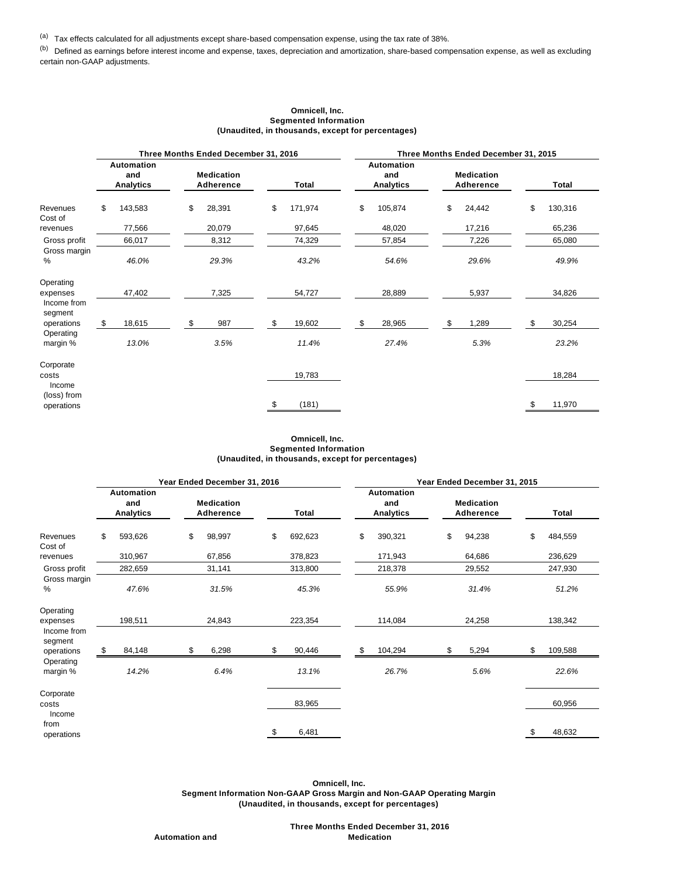(a) Tax effects calculated for all adjustments except share-based compensation expense, using the tax rate of 38%.

(b) Defined as earnings before interest income and expense, taxes, depreciation and amortization, share-based compensation expense, as well as excluding certain non-GAAP adjustments.

|                                      |                                | Three Months Ended December 31, 2016 |    |         | Three Months Ended December 31, 2015 |                                       |    |                                |    |         |  |  |
|--------------------------------------|--------------------------------|--------------------------------------|----|---------|--------------------------------------|---------------------------------------|----|--------------------------------|----|---------|--|--|
|                                      | Automation<br>and<br>Analytics | <b>Medication</b><br>Adherence       |    | Total   |                                      | <b>Automation</b><br>and<br>Analytics |    | <b>Medication</b><br>Adherence |    | Total   |  |  |
| Revenues<br>Cost of                  | \$<br>143,583                  | \$<br>28,391                         | \$ | 171,974 | \$                                   | 105,874                               | \$ | 24,442                         | \$ | 130,316 |  |  |
| revenues                             | 77,566                         | 20,079                               |    | 97,645  |                                      | 48,020                                |    | 17,216                         |    | 65,236  |  |  |
| Gross profit<br>Gross margin         | 66,017                         | 8,312                                |    | 74,329  |                                      | 57,854                                |    | 7,226                          |    | 65,080  |  |  |
| %                                    | 46.0%                          | 29.3%                                |    | 43.2%   |                                      | 54.6%                                 |    | 29.6%                          |    | 49.9%   |  |  |
| Operating<br>expenses<br>Income from | 47,402                         | 7,325                                |    | 54,727  |                                      | 28,889                                |    | 5,937                          |    | 34,826  |  |  |
| segment<br>operations                | \$<br>18,615                   | \$<br>987                            | \$ | 19,602  | \$                                   | 28,965                                | \$ | 1,289                          | \$ | 30,254  |  |  |
| Operating<br>margin %                | 13.0%                          | 3.5%                                 |    | 11.4%   |                                      | 27.4%                                 |    | 5.3%                           |    | 23.2%   |  |  |
| Corporate<br>costs                   |                                |                                      |    | 19,783  |                                      |                                       |    |                                |    | 18,284  |  |  |
| Income<br>(loss) from<br>operations  |                                |                                      | æ. | (181)   |                                      |                                       |    |                                |    | 11,970  |  |  |

#### **Omnicell, Inc. Segmented Information (Unaudited, in thousands, except for percentages)**

#### **Omnicell, Inc. Segmented Information (Unaudited, in thousands, except for percentages)**

|                                      |                                |         | Year Ended December 31, 2016   |    |         | Year Ended December 31, 2015 |                                |    |                                |    |         |  |  |
|--------------------------------------|--------------------------------|---------|--------------------------------|----|---------|------------------------------|--------------------------------|----|--------------------------------|----|---------|--|--|
|                                      | Automation<br>and<br>Analytics |         | <b>Medication</b><br>Adherence |    | Total   |                              | Automation<br>and<br>Analytics |    | <b>Medication</b><br>Adherence |    | Total   |  |  |
| Revenues<br>Cost of                  | \$                             | 593,626 | \$<br>98,997                   | \$ | 692,623 | \$                           | 390,321                        | \$ | 94,238                         | \$ | 484,559 |  |  |
| revenues                             |                                | 310,967 | 67,856                         |    | 378,823 |                              | 171,943                        |    | 64,686                         |    | 236,629 |  |  |
| Gross profit                         |                                | 282,659 | 31,141                         |    | 313,800 |                              | 218,378                        |    | 29,552                         |    | 247,930 |  |  |
| Gross margin<br>%                    |                                | 47.6%   | 31.5%                          |    | 45.3%   |                              | 55.9%                          |    | 31.4%                          |    | 51.2%   |  |  |
| Operating<br>expenses                |                                | 198,511 | 24,843                         |    | 223,354 |                              | 114,084                        |    | 24,258                         |    | 138,342 |  |  |
| Income from<br>segment<br>operations | - \$                           | 84,148  | \$<br>6,298                    |    | 90,446  | \$                           | 104,294                        | \$ | 5,294                          |    | 109,588 |  |  |
| Operating<br>margin %                |                                | 14.2%   | 6.4%                           |    | 13.1%   |                              | 26.7%                          |    | 5.6%                           |    | 22.6%   |  |  |
| Corporate<br>costs                   |                                |         |                                |    | 83,965  |                              |                                |    |                                |    | 60,956  |  |  |
| Income<br>from<br>operations         |                                |         |                                | S  | 6,481   |                              |                                |    |                                | S  | 48,632  |  |  |

**Omnicell, Inc. Segment Information Non-GAAP Gross Margin and Non-GAAP Operating Margin (Unaudited, in thousands, except for percentages)**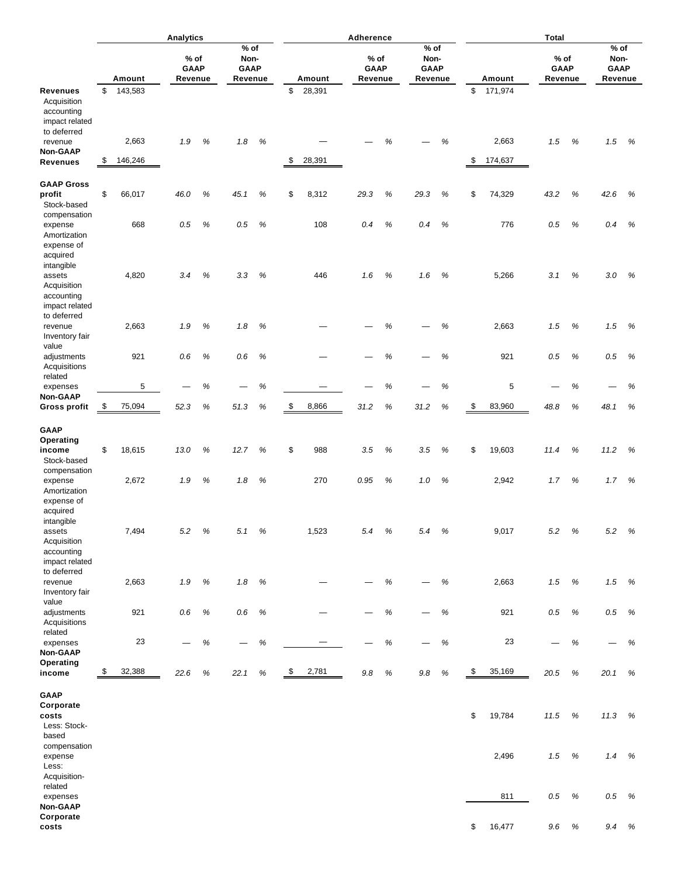|                                                                                                | Analytics |         |                       |      |                               | Adherence |    |        |                     |      |                               |      |                       |                       |        |                               |        |
|------------------------------------------------------------------------------------------------|-----------|---------|-----------------------|------|-------------------------------|-----------|----|--------|---------------------|------|-------------------------------|------|-----------------------|-----------------------|--------|-------------------------------|--------|
|                                                                                                |           |         | $%$ of<br><b>GAAP</b> |      | $%$ of<br>Non-<br><b>GAAP</b> |           |    |        | % of<br><b>GAAP</b> |      | $%$ of<br>Non-<br><b>GAAP</b> |      |                       | $%$ of<br><b>GAAP</b> |        | $%$ of<br>Non-<br><b>GAAP</b> |        |
|                                                                                                |           | Amount  | Revenue               |      | Revenue                       |           |    | Amount | Revenue             |      | Revenue                       |      | Amount                | Revenue               |        | Revenue                       |        |
| <b>Revenues</b><br>Acquisition<br>accounting<br>impact related<br>to deferred                  | \$        | 143,583 |                       |      |                               |           | \$ | 28,391 |                     |      |                               |      | \$<br>171,974         |                       |        |                               |        |
| revenue                                                                                        |           | 2,663   | 1.9                   | $\%$ | 1.8                           | $\%$      |    |        |                     | %    |                               | %    | 2,663                 | 1.5                   | %      | 1.5                           | %      |
| Non-GAAP                                                                                       |           |         |                       |      |                               |           |    |        |                     |      |                               |      |                       |                       |        |                               |        |
| <b>Revenues</b>                                                                                | \$        | 146,246 |                       |      |                               |           | \$ | 28,391 |                     |      |                               |      | \$<br>174,637         |                       |        |                               |        |
| <b>GAAP Gross</b>                                                                              |           |         |                       |      |                               |           |    |        |                     |      |                               |      |                       |                       |        |                               |        |
| profit<br>Stock-based<br>compensation                                                          | \$        | 66,017  | 46.0                  | %    | 45.1                          | $\%$      | \$ | 8,312  | 29.3                | $\%$ | 29.3                          | %    | \$<br>74,329          | 43.2                  | %      | 42.6                          | %      |
| expense<br>Amortization<br>expense of<br>acquired<br>intangible                                |           | 668     | 0.5                   | %    | 0.5                           | $\%$      |    | 108    | 0.4                 | %    | 0.4                           | %    | 776                   | 0.5                   | %      | 0.4                           | %      |
| assets<br>Acquisition<br>accounting<br>impact related                                          |           | 4,820   | 3.4                   | %    | 3.3                           | $\%$      |    | 446    | 1.6                 | $\%$ | 1.6                           | %    | 5,266                 | 3.1                   | %      | 3.0                           | %      |
| to deferred<br>revenue<br>Inventory fair                                                       |           | 2,663   | 1.9                   | %    | 1.8                           | $\%$      |    |        |                     | $\%$ |                               | %    | 2,663                 | 1.5                   | %      | 1.5                           | $\%$   |
| value<br>adjustments<br>Acquisitions<br>related                                                |           | 921     | 0.6                   | $\%$ | $0.6\,$                       | $\%$      |    |        |                     | $\%$ |                               | %    | 921                   | 0.5                   | $\%$   | 0.5                           | $\%$   |
| expenses                                                                                       |           | 5       |                       | %    |                               | %         |    |        |                     | %    |                               | %    | 5                     |                       | %      |                               | %      |
| Non-GAAP<br>Gross profit                                                                       | \$        | 75,094  | 52.3                  | %    | 51.3                          | $\%$      | \$ | 8,866  | 31.2                | %    | 31.2                          | %    | \$<br>83,960          | 48.8                  | %      | 48.1                          | %      |
| <b>GAAP</b>                                                                                    |           |         |                       |      |                               |           |    |        |                     |      |                               |      |                       |                       |        |                               |        |
| Operating<br>income<br>Stock-based                                                             | \$        | 18,615  | 13.0                  | %    | 12.7                          | %         | \$ | 988    | 3.5                 | %    | 3.5                           | %    | \$<br>19,603          | 11.4                  | %      | 11.2                          | %      |
| compensation<br>expense<br>Amortization<br>expense of<br>acquired                              |           | 2,672   | 1.9                   | %    | 1.8                           | $\%$      |    | 270    | 0.95                | $\%$ | 1.0                           | %    | 2,942                 | 1.7                   | %      | 1.7                           | %      |
| intangible<br>assets<br>Acquisition<br>accounting<br>impact related                            |           | 7,494   | 5.2                   | %    | 5.1                           | %         |    | 1,523  | 5.4                 | %    | 5.4                           | %    | 9,017                 | 5.2                   | %      | 5.2                           | %      |
| to deferred<br>revenue<br>Inventory fair<br>value                                              |           | 2,663   | 1.9                   | $\%$ | $1.8\,$                       | $\%$      |    |        |                     | $\%$ |                               | %    | 2,663                 | $1.5\,$               | %      | $1.5\,$                       | %      |
| adjustments<br>Acquisitions<br>related                                                         |           | 921     | $0.6\,$               | $\%$ | 0.6                           | %         |    |        |                     | $\%$ |                               | %    | 921                   | 0.5                   | %      | $0.5\,$                       | %      |
| expenses<br>Non-GAAP                                                                           |           | 23      |                       | $\%$ |                               | $\%$      |    |        |                     | %    |                               | %    | 23                    |                       | %      | $\overline{\phantom{0}}$      | %      |
| Operating<br>income                                                                            | \$        | 32,388  | 22.6                  | %    | 22.1                          | $\%$      | \$ | 2,781  | 9.8                 | %    | 9.8                           | $\%$ | \$<br>35,169          | 20.5                  | %      | 20.1                          | %      |
| <b>GAAP</b><br>Corporate<br>costs<br>Less: Stock-<br>based<br>compensation<br>expense<br>Less: |           |         |                       |      |                               |           |    |        |                     |      |                               |      | \$<br>19,784<br>2,496 | 11.5<br>1.5           | %<br>% | 11.3<br>1.4                   | %<br>% |
| Acquisition-<br>related<br>expenses<br>Non-GAAP<br>Corporate                                   |           |         |                       |      |                               |           |    |        |                     |      |                               |      | 811                   | 0.5                   | $\%$   | 0.5                           | %      |
| costs                                                                                          |           |         |                       |      |                               |           |    |        |                     |      |                               |      | \$<br>16,477          | 9.6                   | $\%$   | 9.4                           | %      |